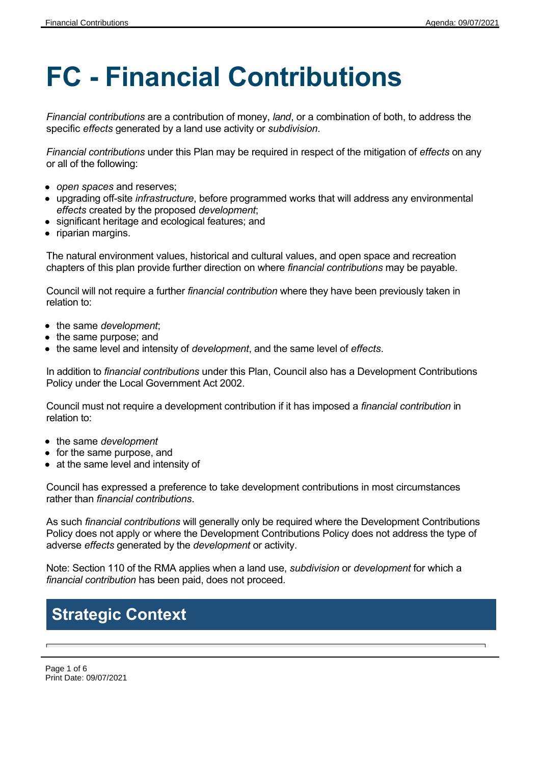# **FC - Financial Contributions**

*Financial contributions* are a contribution of money, *land*, or a combination of both, to address the specific *effects* generated by a land use activity or *subdivision*.

*Financial contributions* under this Plan may be required in respect of the mitigation of *effects* on any or all of the following:

- *open spaces* and reserves;
- upgrading off-site *infrastructure*, before programmed works that will address any environmental *effects* created by the proposed *development*;
- significant heritage and ecological features; and
- riparian margins.

The natural environment values, historical and cultural values, and open space and recreation chapters of this plan provide further direction on where *financial contributions* may be payable.

Council will not require a further *financial contribution* where they have been previously taken in relation to:

- the same *development*;
- the same purpose; and
- the same level and intensity of *development*, and the same level of *effects*.

In addition to *financial contributions* under this Plan, Council also has a Development Contributions Policy under the Local Government Act 2002.

Council must not require a development contribution if it has imposed a *financial contribution* in relation to:

- the same *development*
- for the same purpose, and
- at the same level and intensity of

Council has expressed a preference to take development contributions in most circumstances rather than *financial contributions*.

As such *financial contributions* will generally only be required where the Development Contributions Policy does not apply or where the Development Contributions Policy does not address the type of adverse *effects* generated by the *development* or activity.

Note: Section 110 of the RMA applies when a land use, *subdivision* or *development* for which a *financial contribution* has been paid, does not proceed.

## **Strategic Context**

Page 1 of 6 Print Date: 09/07/2021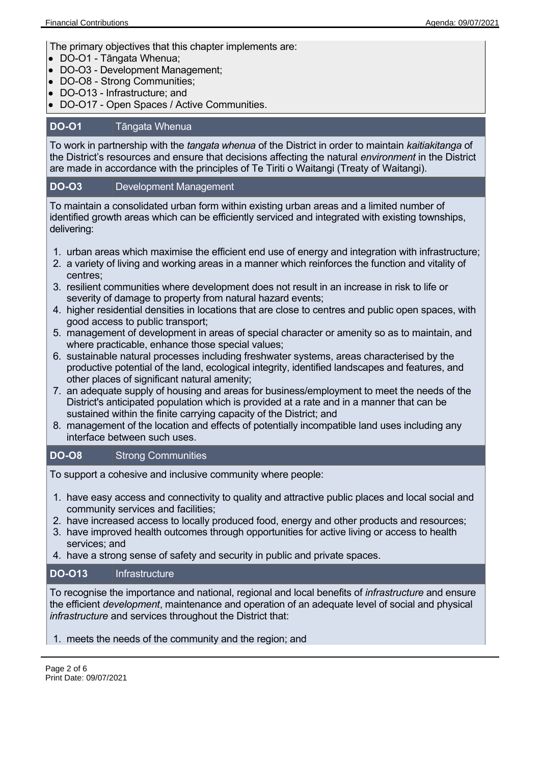The primary objectives that this chapter implements are:

- DO-O1 Tāngata Whenua;
- DO-O3 Development Management;
- DO-O8 Strong Communities;
- DO-O13 Infrastructure; and
- DO-O17 Open Spaces / Active Communities.

#### **DO-O1** Tāngata Whenua

To work in partnership with the *tangata whenua* of the District in order to maintain *kaitiakitanga* of the District's resources and ensure that decisions affecting the natural *environment* in the District are made in accordance with the principles of Te Tiriti o Waitangi (Treaty of Waitangi).

#### **DO-O3** Development Management

To maintain a consolidated urban form within existing urban areas and a limited number of identified growth areas which can be efficiently serviced and integrated with existing townships, delivering:

- 1. urban areas which maximise the efficient end use of energy and integration with infrastructure;
- 2. a variety of living and working areas in a manner which reinforces the function and vitality of centres;
- 3. resilient communities where development does not result in an increase in risk to life or severity of damage to property from natural hazard events;
- 4. higher residential densities in locations that are close to centres and public open spaces, with good access to public transport;
- 5. management of development in areas of special character or amenity so as to maintain, and where practicable, enhance those special values;
- 6. sustainable natural processes including freshwater systems, areas characterised by the productive potential of the land, ecological integrity, identified landscapes and features, and other places of significant natural amenity;
- 7. an adequate supply of housing and areas for business/employment to meet the needs of the District's anticipated population which is provided at a rate and in a manner that can be sustained within the finite carrying capacity of the District; and
- 8. management of the location and effects of potentially incompatible land uses including any interface between such uses.

#### **DO-O8** Strong Communities

To support a cohesive and inclusive community where people:

- 1. have easy access and connectivity to quality and attractive public places and local social and community services and facilities;
- 2. have increased access to locally produced food, energy and other products and resources;
- 3. have improved health outcomes through opportunities for active living or access to health services; and
- 4. have a strong sense of safety and security in public and private spaces.

#### **DO-O13** Infrastructure

To recognise the importance and national, regional and local benefits of *infrastructure* and ensure the efficient *development*, maintenance and operation of an adequate level of social and physical *infrastructure* and services throughout the District that:

#### 1. meets the needs of the community and the region; and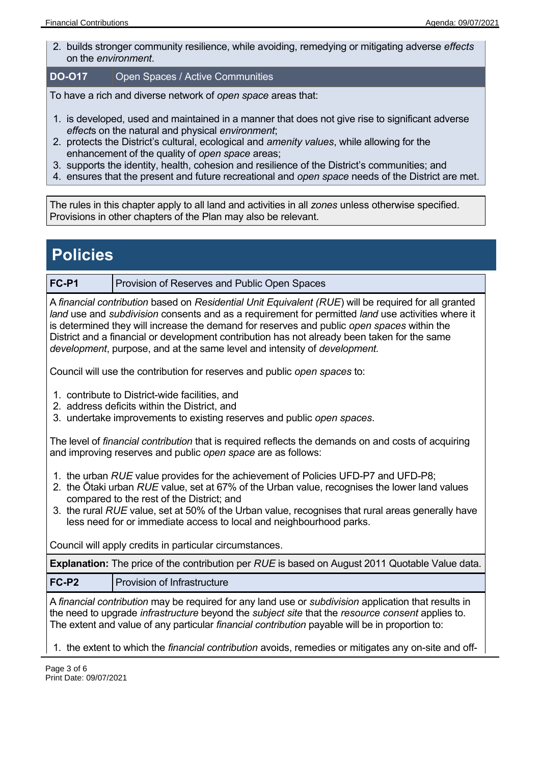2. builds stronger community resilience, while avoiding, remedying or mitigating adverse *effects* on the *environment*.

#### **DO-O17** Open Spaces / Active Communities

To have a rich and diverse network of *open space* areas that:

- 1. is developed, used and maintained in a manner that does not give rise to significant adverse *effect*s on the natural and physical *environment*;
- 2. protects the District's cultural, ecological and *amenity values*, while allowing for the enhancement of the quality of *open space* areas;
- 3. supports the identity, health, cohesion and resilience of the District's communities; and
- 4. ensures that the present and future recreational and *open space* needs of the District are met.

The rules in this chapter apply to all land and activities in all *zones* unless otherwise specified. Provisions in other chapters of the Plan may also be relevant.

### **Policies**

**FC-P1** Provision of Reserves and Public Open Spaces

A *financial contribution* based on *Residential Unit Equivalent (RUE*) will be required for all granted *land* use and *subdivision* consents and as a requirement for permitted *land* use activities where it is determined they will increase the demand for reserves and public *open spaces* within the District and a financial or development contribution has not already been taken for the same *development*, purpose, and at the same level and intensity of *development.*

Council will use the contribution for reserves and public *open spaces* to:

- 1. contribute to District-wide facilities, and
- 2. address deficits within the District, and
- 3. undertake improvements to existing reserves and public *open spaces*.

The level of *financial contribution* that is required reflects the demands on and costs of acquiring and improving reserves and public *open space* are as follows:

- 1. the urban *RUE* value provides for the achievement of Policies UFD-P7 and UFD-P8;
- 2. the Ōtaki urban *RUE* value, set at 67% of the Urban value, recognises the lower land values compared to the rest of the District; and
- 3. the rural *RUE* value, set at 50% of the Urban value, recognises that rural areas generally have less need for or immediate access to local and neighbourhood parks.

Council will apply credits in particular circumstances.

**Explanation:** The price of the contribution per *RUE* is based on August 2011 Quotable Value data.

**FC-P2** Provision of Infrastructure

A *financial contribution* may be required for any land use or *subdivision* application that results in the need to upgrade *infrastructure* beyond the *subject site* that the *resource consent* applies to. The extent and value of any particular *financial contribution* payable will be in proportion to:

1. the extent to which the *financial contribution* avoids, remedies or mitigates any on-site and off-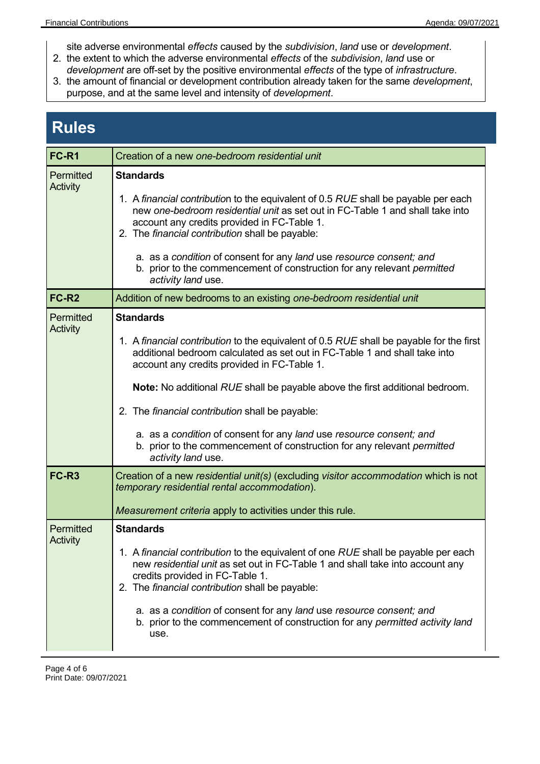- site adverse environmental *effects* caused by the *subdivision*, *land* use or *development*. 2. the extent to which the adverse environmental *effects* of the *subdivision*, *land* use or
- *development* are off-set by the positive environmental *effects* of the type of *infrastructure*.
- 3. the amount of financial or development contribution already taken for the same *development*, purpose, and at the same level and intensity of *development*.

## **Rules**

| FC-R1                 | Creation of a new one-bedroom residential unit                                                                                                                                                                                                                                                                                                                                                                                                                                                                                                             |  |  |  |
|-----------------------|------------------------------------------------------------------------------------------------------------------------------------------------------------------------------------------------------------------------------------------------------------------------------------------------------------------------------------------------------------------------------------------------------------------------------------------------------------------------------------------------------------------------------------------------------------|--|--|--|
| Permitted<br>Activity | <b>Standards</b><br>1. A financial contribution to the equivalent of 0.5 RUE shall be payable per each<br>new one-bedroom residential unit as set out in FC-Table 1 and shall take into<br>account any credits provided in FC-Table 1.<br>2. The financial contribution shall be payable:<br>a. as a condition of consent for any land use resource consent; and<br>b. prior to the commencement of construction for any relevant permitted<br>activity land use.                                                                                          |  |  |  |
| <b>FC-R2</b>          | Addition of new bedrooms to an existing one-bedroom residential unit                                                                                                                                                                                                                                                                                                                                                                                                                                                                                       |  |  |  |
| Permitted<br>Activity | <b>Standards</b><br>1. A financial contribution to the equivalent of 0.5 RUE shall be payable for the first<br>additional bedroom calculated as set out in FC-Table 1 and shall take into<br>account any credits provided in FC-Table 1.<br><b>Note:</b> No additional RUE shall be payable above the first additional bedroom.<br>2. The financial contribution shall be payable:<br>a. as a condition of consent for any land use resource consent; and<br>b. prior to the commencement of construction for any relevant permitted<br>activity land use. |  |  |  |
| FC-R <sub>3</sub>     | Creation of a new residential unit(s) (excluding visitor accommodation which is not<br>temporary residential rental accommodation).<br>Measurement criteria apply to activities under this rule.                                                                                                                                                                                                                                                                                                                                                           |  |  |  |
| Permitted<br>Activity | <b>Standards</b><br>1. A financial contribution to the equivalent of one RUE shall be payable per each<br>new residential unit as set out in FC-Table 1 and shall take into account any<br>credits provided in FC-Table 1.<br>2. The financial contribution shall be payable:<br>a. as a condition of consent for any land use resource consent; and<br>b. prior to the commencement of construction for any permitted activity land<br>use.                                                                                                               |  |  |  |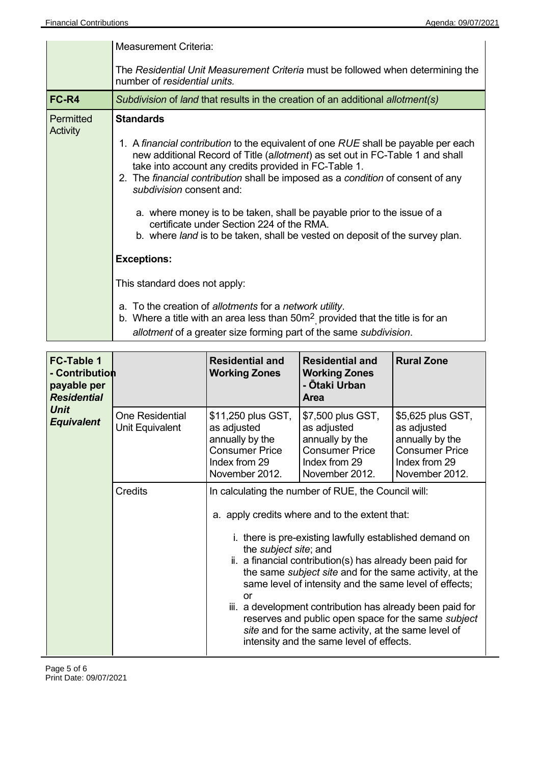|                              | <b>Measurement Criteria:</b>                                                                                                                                                                                                                                                                                                                |
|------------------------------|---------------------------------------------------------------------------------------------------------------------------------------------------------------------------------------------------------------------------------------------------------------------------------------------------------------------------------------------|
|                              | The Residential Unit Measurement Criteria must be followed when determining the<br>number of residential units.                                                                                                                                                                                                                             |
| FC-R4                        | Subdivision of land that results in the creation of an additional allotment(s)                                                                                                                                                                                                                                                              |
| Permitted<br><b>Activity</b> | <b>Standards</b>                                                                                                                                                                                                                                                                                                                            |
|                              | 1. A financial contribution to the equivalent of one RUE shall be payable per each<br>new additional Record of Title (allotment) as set out in FC-Table 1 and shall<br>take into account any credits provided in FC-Table 1.<br>2. The financial contribution shall be imposed as a condition of consent of any<br>subdivision consent and: |
|                              | a. where money is to be taken, shall be payable prior to the issue of a<br>certificate under Section 224 of the RMA.<br>b. where land is to be taken, shall be vested on deposit of the survey plan.                                                                                                                                        |
|                              | <b>Exceptions:</b>                                                                                                                                                                                                                                                                                                                          |
|                              | This standard does not apply:                                                                                                                                                                                                                                                                                                               |
|                              | a. To the creation of allotments for a network utility.<br>b. Where a title with an area less than $50m^2$ provided that the title is for an<br>allotment of a greater size forming part of the same subdivision.                                                                                                                           |

| <b>FC-Table 1</b><br>- Contribution<br>payable per<br><b>Residential</b><br><b>Unit</b><br><b>Equivalent</b> |                                           | <b>Residential and</b><br><b>Working Zones</b>                                                                                                                                                                                                                                                                                                                                                                                                                                                                                                                                                                          | <b>Residential and</b><br><b>Working Zones</b><br>- Ōtaki Urban<br><b>Area</b>                                  | <b>Rural Zone</b>                                                                                               |
|--------------------------------------------------------------------------------------------------------------|-------------------------------------------|-------------------------------------------------------------------------------------------------------------------------------------------------------------------------------------------------------------------------------------------------------------------------------------------------------------------------------------------------------------------------------------------------------------------------------------------------------------------------------------------------------------------------------------------------------------------------------------------------------------------------|-----------------------------------------------------------------------------------------------------------------|-----------------------------------------------------------------------------------------------------------------|
|                                                                                                              | <b>One Residential</b><br>Unit Equivalent | \$11,250 plus GST,<br>as adjusted<br>annually by the<br><b>Consumer Price</b><br>Index from 29<br>November 2012.                                                                                                                                                                                                                                                                                                                                                                                                                                                                                                        | \$7,500 plus GST,<br>as adjusted<br>annually by the<br><b>Consumer Price</b><br>Index from 29<br>November 2012. | \$5,625 plus GST,<br>as adjusted<br>annually by the<br><b>Consumer Price</b><br>Index from 29<br>November 2012. |
|                                                                                                              | <b>Credits</b>                            | In calculating the number of RUE, the Council will:<br>a. apply credits where and to the extent that:<br>i. there is pre-existing lawfully established demand on<br>the <i>subject</i> site; and<br>ii. a financial contribution(s) has already been paid for<br>the same <i>subject site</i> and for the same activity, at the<br>same level of intensity and the same level of effects;<br>or<br>iii. a development contribution has already been paid for<br>reserves and public open space for the same subject<br>site and for the same activity, at the same level of<br>intensity and the same level of effects. |                                                                                                                 |                                                                                                                 |